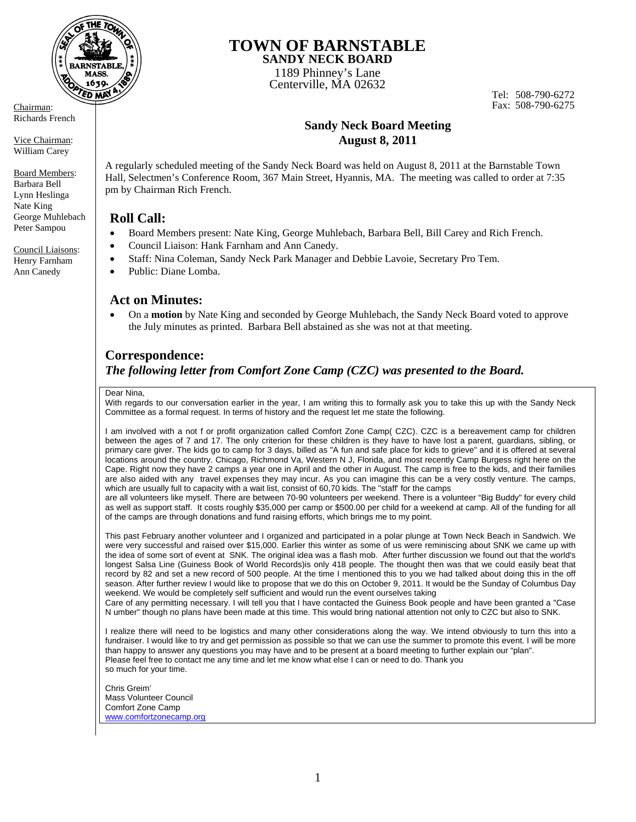

Richards French

Vice Chairman: William Carey

Board Members: Barbara Bell Lynn Heslinga Nate King George Muhlebach Peter Sampou

Council Liaisons: Henry Farnham Ann Canedy

### **TOWN OF BARNSTABLE SANDY NECK BOARD**

1189 Phinney's Lane Centerville, MA 02632

Tel: 508-790-6272 Chairman: Fax: 508-790-6275

# **Sandy Neck Board Meeting August 8, 2011**

A regularly scheduled meeting of the Sandy Neck Board was held on August 8, 2011 at the Barnstable Town Hall, Selectmen's Conference Room, 367 Main Street, Hyannis, MA. The meeting was called to order at 7:35 pm by Chairman Rich French.

## **Roll Call:**

- Board Members present: Nate King, George Muhlebach, Barbara Bell, Bill Carey and Rich French.
- Council Liaison: Hank Farnham and Ann Canedy.
- Staff: Nina Coleman, Sandy Neck Park Manager and Debbie Lavoie, Secretary Pro Tem.
- Public: Diane Lomba.

## **Act on Minutes:**

 On a **motion** by Nate King and seconded by George Muhlebach, the Sandy Neck Board voted to approve the July minutes as printed. Barbara Bell abstained as she was not at that meeting.

# **Correspondence:**

## *The following letter from Comfort Zone Camp (CZC) was presented to the Board.*

#### Dear Nina,

With regards to our conversation earlier in the year, I am writing this to formally ask you to take this up with the Sandy Neck Committee as a formal request. In terms of history and the request let me state the following.

I am involved with a not f or profit organization called Comfort Zone Camp( CZC). CZC is a bereavement camp for children between the ages of 7 and 17. The only criterion for these children is they have to have lost a parent, guardians, sibling, or primary care giver. The kids go to camp for 3 days, billed as "A fun and safe place for kids to grieve" and it is offered at several locations around the country. Chicago, Richmond Va, Western N J, Florida, and most recently Camp Burgess right here on the Cape. Right now they have 2 camps a year one in April and the other in August. The camp is free to the kids, and their families are also aided with any travel expenses they may incur. As you can imagine this can be a very costly venture. The camps, which are usually full to capacity with a wait list, consist of 60,70 kids. The "staff' for the camps

are all volunteers like myself. There are between 70-90 volunteers per weekend. There is a volunteer "Big Buddy" for every child as well as support staff. It costs roughly \$35,000 per camp or \$500.00 per child for a weekend at camp. All of the funding for all of the camps are through donations and fund raising efforts, which brings me to my point.

This past February another volunteer and I organized and participated in a polar plunge at Town Neck Beach in Sandwich. We were very successful and raised over \$15,000. Earlier this winter as some of us were reminiscing about SNK we came up with the idea of some sort of event at SNK. The original idea was a flash mob. After further discussion we found out that the world's longest Salsa Line (Guiness Book of World Records)is only 418 people. The thought then was that we could easily beat that record by 82 and set a new record of 500 people. At the time I mentioned this to you we had talked about doing this in the off season. After further review I would like to propose that we do this on October 9, 2011. It would be the Sunday of Columbus Day weekend. We would be completely self sufficient and would run the event ourselves taking

Care of any permitting necessary. I will tell you that I have contacted the Guiness Book people and have been granted a "Case N umber" though no plans have been made at this time. This would bring national attention not only to CZC but also to SNK.

I realize there will need to be logistics and many other considerations along the way. We intend obviously to turn this into a fundraiser. I would like to try and get permission as possible so that we can use the summer to promote this event. I will be more than happy to answer any questions you may have and to be present at a board meeting to further explain our "plan". Please feel free to contact me any time and let me know what else I can or need to do. Thank you so much for your time.

Chris Greim' Mass Volunteer Council Comfort Zone Camp www.comfortzonecamp.org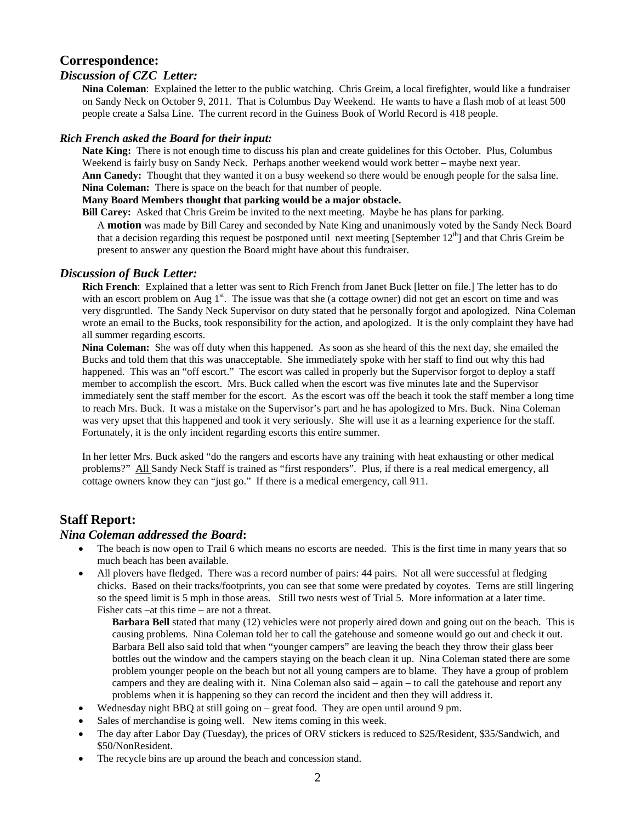## **Correspondence:**

### *Discussion of CZC Letter:*

**Nina Coleman**: Explained the letter to the public watching. Chris Greim, a local firefighter, would like a fundraiser on Sandy Neck on October 9, 2011. That is Columbus Day Weekend. He wants to have a flash mob of at least 500 people create a Salsa Line. The current record in the Guiness Book of World Record is 418 people.

#### *Rich French asked the Board for their input:*

**Nate King:** There is not enough time to discuss his plan and create guidelines for this October. Plus, Columbus Weekend is fairly busy on Sandy Neck. Perhaps another weekend would work better – maybe next year. **Ann Canedy:** Thought that they wanted it on a busy weekend so there would be enough people for the salsa line. **Nina Coleman:** There is space on the beach for that number of people.

#### **Many Board Members thought that parking would be a major obstacle.**

**Bill Carey:** Asked that Chris Greim be invited to the next meeting. Maybe he has plans for parking.

A **motion** was made by Bill Carey and seconded by Nate King and unanimously voted by the Sandy Neck Board that a decision regarding this request be postponed until next meeting [September  $12<sup>th</sup>$ ] and that Chris Greim be present to answer any question the Board might have about this fundraiser.

#### *Discussion of Buck Letter:*

**Rich French**: Explained that a letter was sent to Rich French from Janet Buck [letter on file.] The letter has to do with an escort problem on Aug  $1<sup>st</sup>$ . The issue was that she (a cottage owner) did not get an escort on time and was very disgruntled. The Sandy Neck Supervisor on duty stated that he personally forgot and apologized. Nina Coleman wrote an email to the Bucks, took responsibility for the action, and apologized. It is the only complaint they have had all summer regarding escorts.

**Nina Coleman:** She was off duty when this happened. As soon as she heard of this the next day, she emailed the Bucks and told them that this was unacceptable. She immediately spoke with her staff to find out why this had happened. This was an "off escort." The escort was called in properly but the Supervisor forgot to deploy a staff member to accomplish the escort. Mrs. Buck called when the escort was five minutes late and the Supervisor immediately sent the staff member for the escort. As the escort was off the beach it took the staff member a long time to reach Mrs. Buck. It was a mistake on the Supervisor's part and he has apologized to Mrs. Buck. Nina Coleman was very upset that this happened and took it very seriously. She will use it as a learning experience for the staff. Fortunately, it is the only incident regarding escorts this entire summer.

In her letter Mrs. Buck asked "do the rangers and escorts have any training with heat exhausting or other medical problems?" All Sandy Neck Staff is trained as "first responders". Plus, if there is a real medical emergency, all cottage owners know they can "just go." If there is a medical emergency, call 911.

### **Staff Report:**

#### *Nina Coleman addressed the Board***:**

- The beach is now open to Trail 6 which means no escorts are needed. This is the first time in many years that so much beach has been available.
- All plovers have fledged. There was a record number of pairs: 44 pairs. Not all were successful at fledging chicks. Based on their tracks/footprints, you can see that some were predated by coyotes. Terns are still lingering so the speed limit is 5 mph in those areas. Still two nests west of Trial 5. More information at a later time. Fisher cats –at this time – are not a threat.

**Barbara Bell** stated that many (12) vehicles were not properly aired down and going out on the beach. This is causing problems. Nina Coleman told her to call the gatehouse and someone would go out and check it out. Barbara Bell also said told that when "younger campers" are leaving the beach they throw their glass beer bottles out the window and the campers staying on the beach clean it up. Nina Coleman stated there are some problem younger people on the beach but not all young campers are to blame. They have a group of problem campers and they are dealing with it. Nina Coleman also said – again – to call the gatehouse and report any problems when it is happening so they can record the incident and then they will address it.

- Wednesday night BBQ at still going on great food. They are open until around 9 pm.
- Sales of merchandise is going well. New items coming in this week.
- The day after Labor Day (Tuesday), the prices of ORV stickers is reduced to \$25/Resident, \$35/Sandwich, and \$50/NonResident.
- The recycle bins are up around the beach and concession stand.